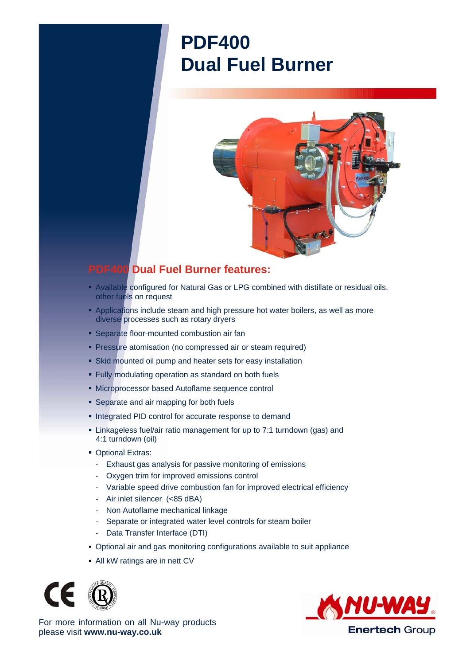## **PDF400 Dual Fuel Burner**



## **PDF400 Dual Fuel Burner features:**

- Available configured for Natural Gas or LPG combined with distillate or residual oils, other fuels on request
- **Applications include steam and high pressure hot water boilers, as well as more** diverse processes such as rotary dryers
- **Separate floor-mounted combustion air fan**
- **Pressure atomisation (no compressed air or steam required)**
- Skid mounted oil pump and heater sets for easy installation
- Fully modulating operation as standard on both fuels
- Microprocessor based Autoflame sequence control
- **Separate and air mapping for both fuels**
- **Integrated PID control for accurate response to demand**
- Linkageless fuel/air ratio management for up to 7:1 turndown (gas) and 4:1 turndown (oil)
- **Optional Extras:** 
	- Exhaust gas analysis for passive monitoring of emissions
	- Oxygen trim for improved emissions control
	- Variable speed drive combustion fan for improved electrical efficiency
	- Air inlet silencer (<85 dBA)
	- Non Autoflame mechanical linkage
	- Separate or integrated water level controls for steam boiler
	- Data Transfer Interface (DTI)
- Optional air and gas monitoring configurations available to suit appliance
- All kW ratings are in nett CV





For more information on all Nu-way products please visit **www.nu-way.co.uk**